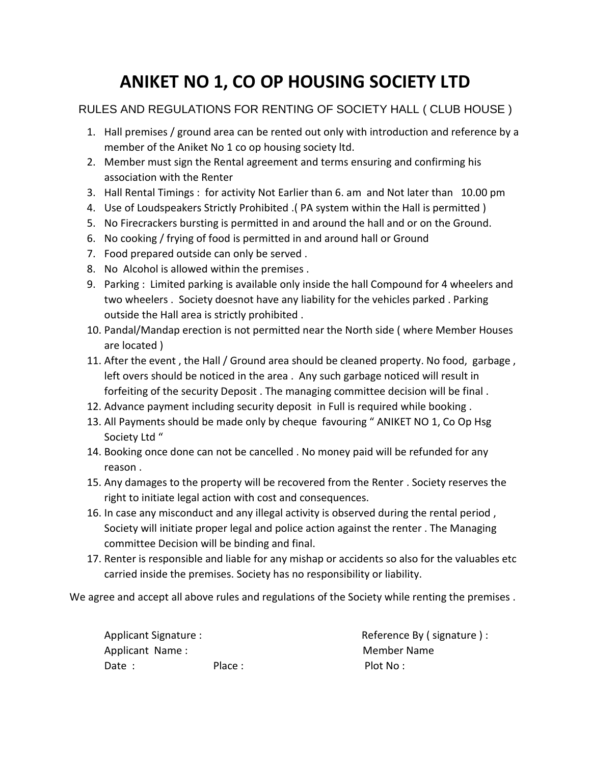# **ANIKET NO 1, CO OP HOUSING SOCIETY LTD**

## RULES AND REGULATIONS FOR RENTING OF SOCIETY HALL ( CLUB HOUSE )

- 1. Hall premises / ground area can be rented out only with introduction and reference by a member of the Aniket No 1 co op housing society ltd.
- 2. Member must sign the Rental agreement and terms ensuring and confirming his association with the Renter
- 3. Hall Rental Timings : for activity Not Earlier than 6. am and Not later than 10.00 pm
- 4. Use of Loudspeakers Strictly Prohibited .( PA system within the Hall is permitted )
- 5. No Firecrackers bursting is permitted in and around the hall and or on the Ground.
- 6. No cooking / frying of food is permitted in and around hall or Ground
- 7. Food prepared outside can only be served .
- 8. No Alcohol is allowed within the premises .
- 9. Parking : Limited parking is available only inside the hall Compound for 4 wheelers and two wheelers . Society doesnot have any liability for the vehicles parked . Parking outside the Hall area is strictly prohibited .
- 10. Pandal/Mandap erection is not permitted near the North side ( where Member Houses are located )
- 11. After the event , the Hall / Ground area should be cleaned property. No food, garbage , left overs should be noticed in the area . Any such garbage noticed will result in forfeiting of the security Deposit . The managing committee decision will be final .
- 12. Advance payment including security deposit in Full is required while booking .
- 13. All Payments should be made only by cheque favouring " ANIKET NO 1, Co Op Hsg Society Ltd "
- 14. Booking once done can not be cancelled . No money paid will be refunded for any reason .
- 15. Any damages to the property will be recovered from the Renter . Society reserves the right to initiate legal action with cost and consequences.
- 16. In case any misconduct and any illegal activity is observed during the rental period, Society will initiate proper legal and police action against the renter . The Managing committee Decision will be binding and final.
- 17. Renter is responsible and liable for any mishap or accidents so also for the valuables etc carried inside the premises. Society has no responsibility or liability.

We agree and accept all above rules and regulations of the Society while renting the premises .

Applicant Signature :  $\blacksquare$ Applicant Name : Member Name Date : Place : Place : Plot No :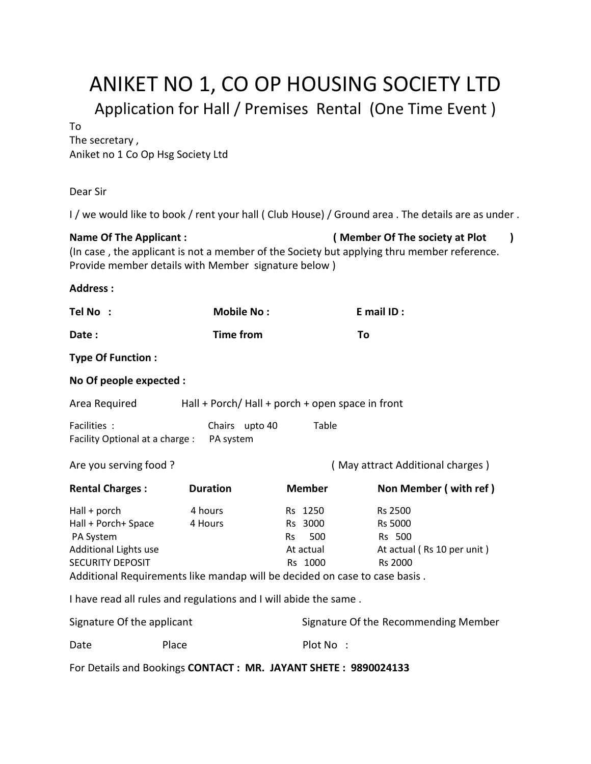# ANIKET NO 1, CO OP HOUSING SOCIETY LTD Application for Hall / Premises Rental (One Time Event )

To

The secretary , Aniket no 1 Co Op Hsg Society Ltd

## Dear Sir

I / we would like to book / rent your hall ( Club House) / Ground area . The details are as under .

**Name Of The Applicant : ( Member Of The society at Plot )**

(In case , the applicant is not a member of the Society but applying thru member reference. Provide member details with Member signature below )

## **Address :**

| Tel No :                                                                                             | <b>Mobile No:</b>                                                                                                                                                    |                                                                | E mail ID:                                                                   |  |  |  |  |  |
|------------------------------------------------------------------------------------------------------|----------------------------------------------------------------------------------------------------------------------------------------------------------------------|----------------------------------------------------------------|------------------------------------------------------------------------------|--|--|--|--|--|
| Date:                                                                                                | <b>Time from</b>                                                                                                                                                     |                                                                | To                                                                           |  |  |  |  |  |
| <b>Type Of Function:</b>                                                                             |                                                                                                                                                                      |                                                                |                                                                              |  |  |  |  |  |
| No Of people expected :                                                                              |                                                                                                                                                                      |                                                                |                                                                              |  |  |  |  |  |
| Area Required                                                                                        | Hall + Porch/ Hall + porch + open space in front                                                                                                                     |                                                                |                                                                              |  |  |  |  |  |
| Facilities:<br>Facility Optional at a charge :                                                       | Chairs upto 40<br>PA system                                                                                                                                          | Table                                                          |                                                                              |  |  |  |  |  |
| Are you serving food?                                                                                |                                                                                                                                                                      | (May attract Additional charges)                               |                                                                              |  |  |  |  |  |
| <b>Rental Charges:</b>                                                                               | <b>Duration</b>                                                                                                                                                      | <b>Member</b>                                                  | Non Member (with ref)                                                        |  |  |  |  |  |
| Hall + porch<br>Hall + Porch+ Space<br>PA System<br>Additional Lights use<br><b>SECURITY DEPOSIT</b> | 4 hours<br>4 Hours<br>Additional Requirements like mandap will be decided on case to case basis.<br>I have read all rules and regulations and I will abide the same. | Rs 1250<br>Rs 3000<br>500<br><b>Rs</b><br>At actual<br>Rs 1000 | Rs 2500<br>Rs 5000<br>Rs 500<br>At actual (Rs 10 per unit)<br><b>Rs 2000</b> |  |  |  |  |  |
|                                                                                                      |                                                                                                                                                                      |                                                                |                                                                              |  |  |  |  |  |
| Signature Of the applicant                                                                           |                                                                                                                                                                      |                                                                | Signature Of the Recommending Member                                         |  |  |  |  |  |

For Details and Bookings **CONTACT : MR. JAYANT SHETE : 9890024133**

Date Place Place Plot No :